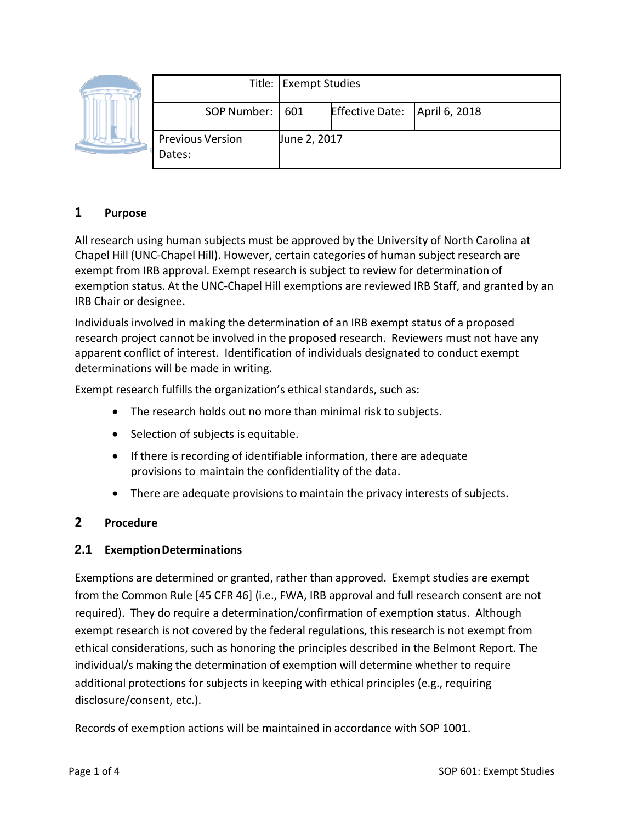|  |                                   | Title: Exempt Studies |                        |               |
|--|-----------------------------------|-----------------------|------------------------|---------------|
|  | SOP Number:   601                 |                       | <b>Effective Date:</b> | April 6, 2018 |
|  | <b>Previous Version</b><br>Dates: | June 2, 2017          |                        |               |

# **1 Purpose**

All research using human subjects must be approved by the University of North Carolina at Chapel Hill (UNC‐Chapel Hill). However, certain categories of human subject research are exempt from IRB approval. Exempt research is subject to review for determination of exemption status. At the UNC‐Chapel Hill exemptions are reviewed IRB Staff, and granted by an IRB Chair or designee.

Individuals involved in making the determination of an IRB exempt status of a proposed research project cannot be involved in the proposed research. Reviewers must not have any apparent conflict of interest. Identification of individuals designated to conduct exempt determinations will be made in writing.

Exempt research fulfills the organization's ethical standards, such as:

- The research holds out no more than minimal risk to subjects.
- Selection of subjects is equitable.
- If there is recording of identifiable information, there are adequate provisions to maintain the confidentiality of the data.
- There are adequate provisions to maintain the privacy interests of subjects.

## **2 Procedure**

#### **2.1 ExemptionDeterminations**

Exemptions are determined or granted, rather than approved. Exempt studies are exempt from the Common Rule [45 CFR 46] (i.e., FWA, IRB approval and full research consent are not required). They do require a determination/confirmation of exemption status. Although exempt research is not covered by the federal regulations, this research is not exempt from ethical considerations, such as honoring the principles described in the Belmont Report. The individual/s making the determination of exemption will determine whether to require additional protections for subjects in keeping with ethical principles (e.g., requiring disclosure/consent, etc.).

Records of exemption actions will be maintained in accordance with SOP 1001.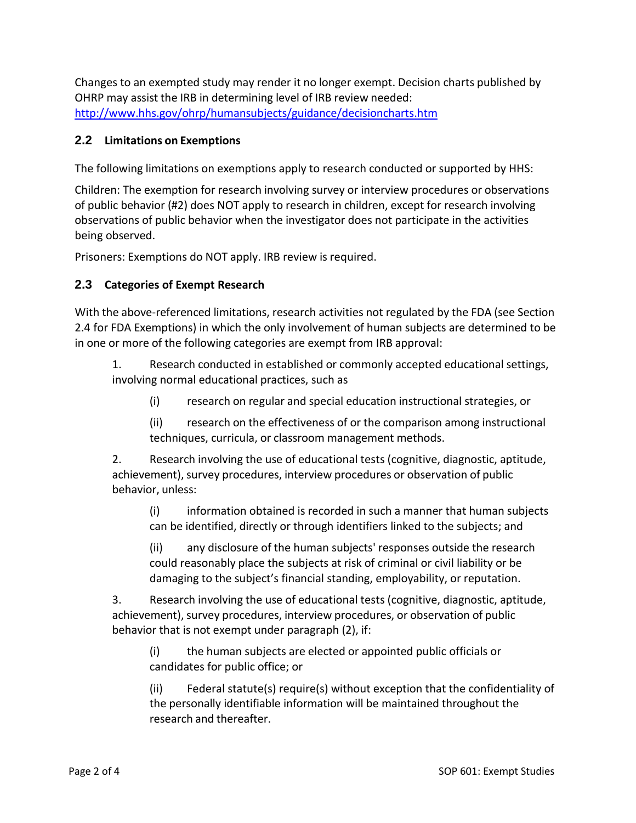Changes to an exempted study may render it no longer exempt. Decision charts published by OHRP may assist the IRB in determining level of IRB review needed: <http://www.hhs.gov/ohrp/humansubjects/guidance/decisioncharts.htm>

### **2.2 Limitations on Exemptions**

The following limitations on exemptions apply to research conducted or supported by HHS:

Children: The exemption for research involving survey or interview procedures or observations of public behavior (#2) does NOT apply to research in children, except for research involving observations of public behavior when the investigator does not participate in the activities being observed.

Prisoners: Exemptions do NOT apply. IRB review is required.

### **2.3 Categories of Exempt Research**

With the above-referenced limitations, research activities not regulated by the FDA (see Section 2.4 for FDA Exemptions) in which the only involvement of human subjects are determined to be in one or more of the following categories are exempt from IRB approval:

1. Research conducted in established or commonly accepted educational settings, involving normal educational practices, such as

(i) research on regular and special education instructional strategies, or

(ii) research on the effectiveness of or the comparison among instructional techniques, curricula, or classroom management methods.

2. Research involving the use of educational tests (cognitive, diagnostic, aptitude, achievement), survey procedures, interview procedures or observation of public behavior, unless:

(i) information obtained is recorded in such a manner that human subjects can be identified, directly or through identifiers linked to the subjects; and

(ii) any disclosure of the human subjects' responses outside the research could reasonably place the subjects at risk of criminal or civil liability or be damaging to the subject's financial standing, employability, or reputation.

3. Research involving the use of educational tests (cognitive, diagnostic, aptitude, achievement), survey procedures, interview procedures, or observation of public behavior that is not exempt under paragraph (2), if:

(i) the human subjects are elected or appointed public officials or candidates for public office; or

(ii) Federal statute(s) require(s) without exception that the confidentiality of the personally identifiable information will be maintained throughout the research and thereafter.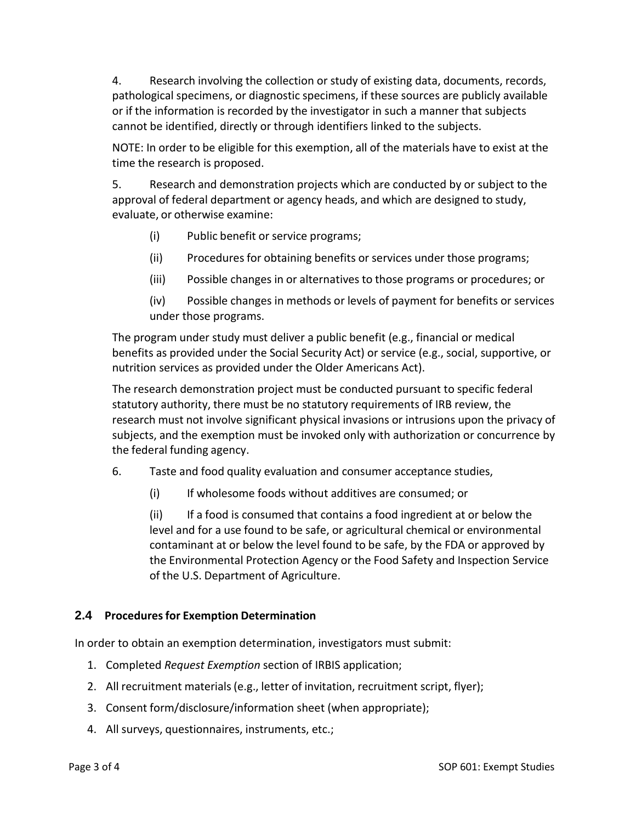4. Research involving the collection or study of existing data, documents, records, pathological specimens, or diagnostic specimens, if these sources are publicly available or if the information is recorded by the investigator in such a manner that subjects cannot be identified, directly or through identifiers linked to the subjects.

NOTE: In order to be eligible for this exemption, all of the materials have to exist at the time the research is proposed.

5. Research and demonstration projects which are conducted by or subject to the approval of federal department or agency heads, and which are designed to study, evaluate, or otherwise examine:

- (i) Public benefit or service programs;
- (ii) Procedures for obtaining benefits or services under those programs;
- (iii) Possible changes in or alternatives to those programs or procedures; or
- (iv) Possible changes in methods or levels of payment for benefits or services under those programs.

The program under study must deliver a public benefit (e.g., financial or medical benefits as provided under the Social Security Act) or service (e.g., social, supportive, or nutrition services as provided under the Older Americans Act).

The research demonstration project must be conducted pursuant to specific federal statutory authority, there must be no statutory requirements of IRB review, the research must not involve significant physical invasions or intrusions upon the privacy of subjects, and the exemption must be invoked only with authorization or concurrence by the federal funding agency.

- 6. Taste and food quality evaluation and consumer acceptance studies,
	- (i) If wholesome foods without additives are consumed; or

(ii) If a food is consumed that contains a food ingredient at or below the level and for a use found to be safe, or agricultural chemical or environmental contaminant at or below the level found to be safe, by the FDA or approved by the Environmental Protection Agency or the Food Safety and Inspection Service of the U.S. Department of Agriculture.

## **2.4 Proceduresfor Exemption Determination**

In order to obtain an exemption determination, investigators must submit:

- 1. Completed *Request Exemption* section of IRBIS application;
- 2. All recruitment materials(e.g., letter of invitation, recruitment script, flyer);
- 3. Consent form/disclosure/information sheet (when appropriate);
- 4. All surveys, questionnaires, instruments, etc.;